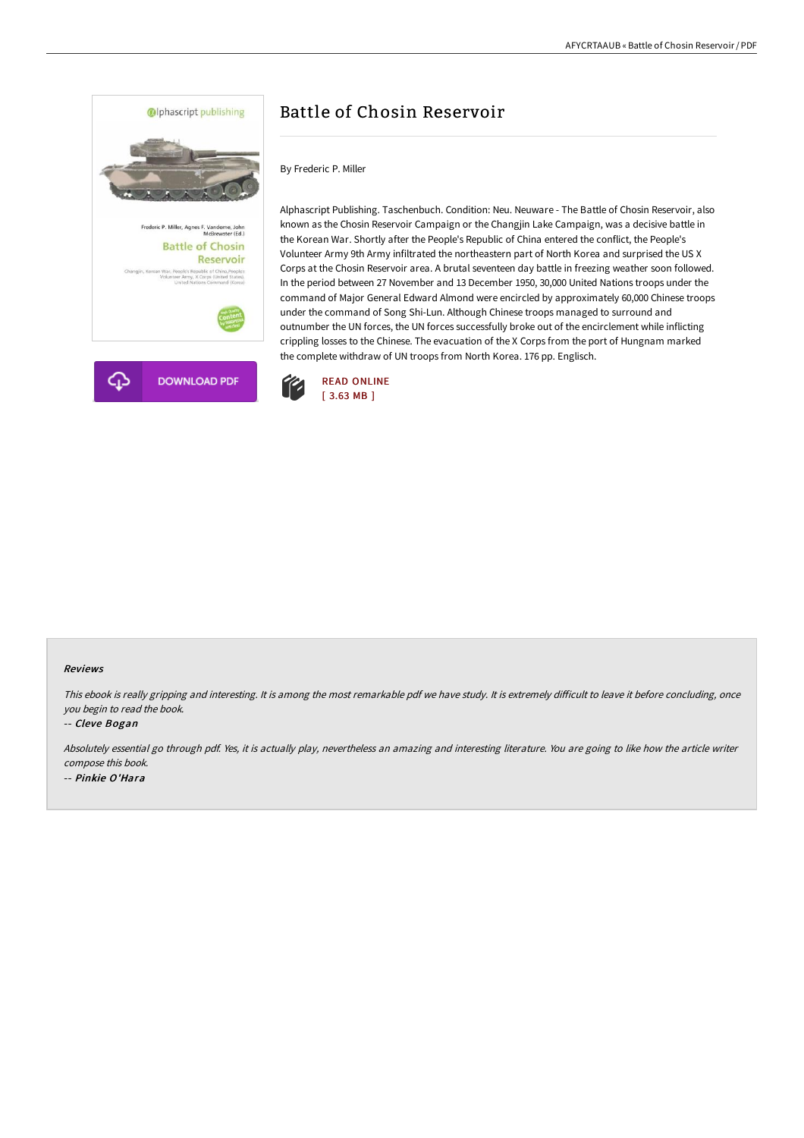

# Battle of Chosin Reservoir

By Frederic P. Miller

Alphascript Publishing. Taschenbuch. Condition: Neu. Neuware - The Battle of Chosin Reservoir, also known as the Chosin Reservoir Campaign or the Changjin Lake Campaign, was a decisive battle in the Korean War. Shortly after the People's Republic of China entered the conflict, the People's Volunteer Army 9th Army infiltrated the northeastern part of North Korea and surprised the US X Corps at the Chosin Reservoir area. A brutal seventeen day battle in freezing weather soon followed. In the period between 27 November and 13 December 1950, 30,000 United Nations troops under the command of Major General Edward Almond were encircled by approximately 60,000 Chinese troops under the command of Song Shi-Lun. Although Chinese troops managed to surround and outnumber the UN forces, the UN forces successfully broke out of the encirclement while inflicting crippling losses to the Chinese. The evacuation of the X Corps from the port of Hungnam marked the complete withdraw of UN troops from North Korea. 176 pp. Englisch.



#### Reviews

This ebook is really gripping and interesting. It is among the most remarkable pdf we have study. It is extremely difficult to leave it before concluding, once you begin to read the book.

-- Cleve Bogan

Absolutely essential go through pdf. Yes, it is actually play, nevertheless an amazing and interesting literature. You are going to like how the article writer compose this book. -- Pinkie O'Hara